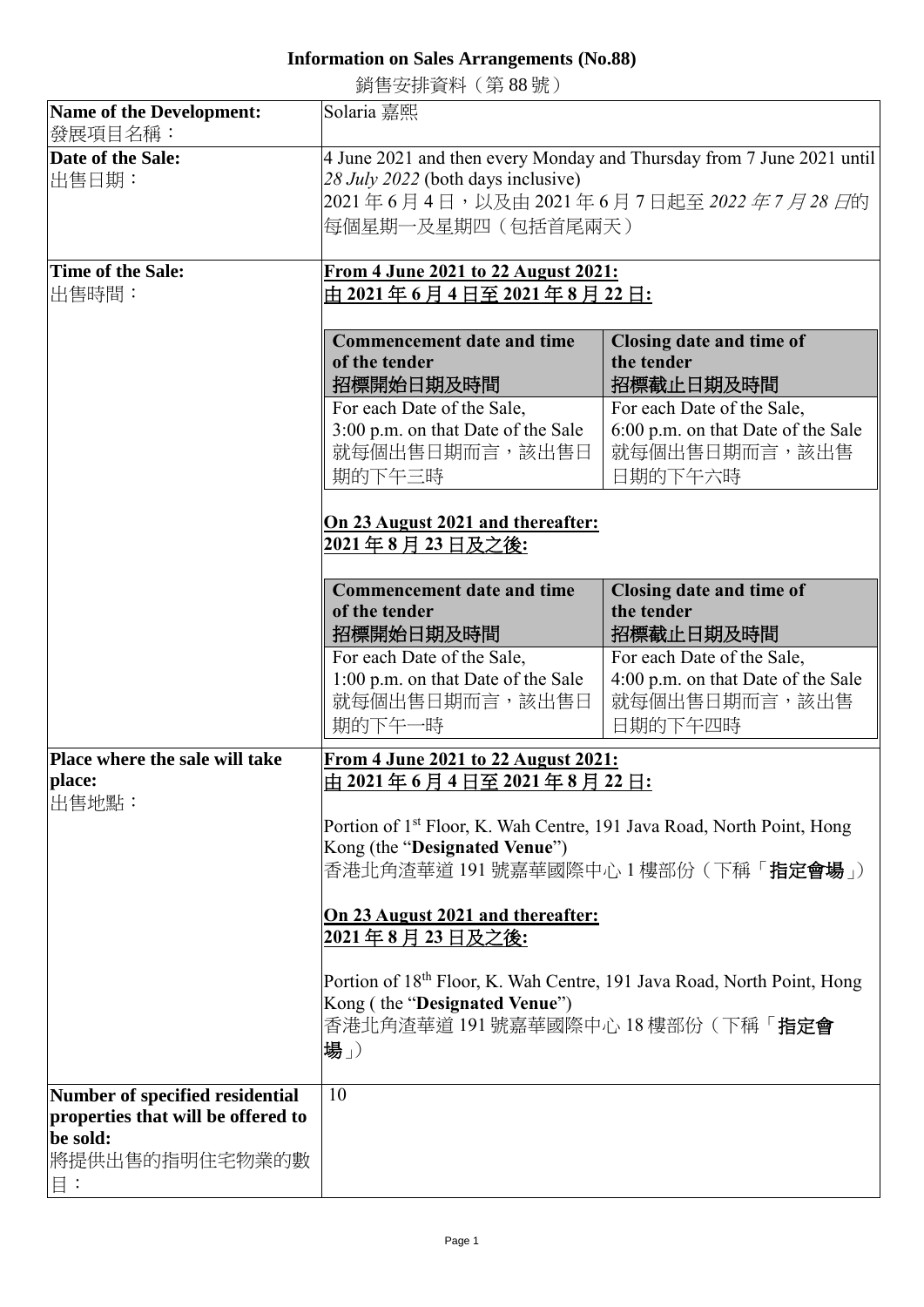## **Information on Sales Arrangements (No.88)**

銷售安排資料(第 88 號)

| Name of the Development:                                                                                  | Solaria 嘉熙                                                                                                                                                              |                                                                                                                                    |  |
|-----------------------------------------------------------------------------------------------------------|-------------------------------------------------------------------------------------------------------------------------------------------------------------------------|------------------------------------------------------------------------------------------------------------------------------------|--|
| 發展項目名稱:                                                                                                   |                                                                                                                                                                         |                                                                                                                                    |  |
| Date of the Sale:<br>出售日期:                                                                                | 4 June 2021 and then every Monday and Thursday from 7 June 2021 until<br>28 July 2022 (both days inclusive)<br>2021年6月4日,以及由2021年6月7日起至2022年7月28日的<br>每個星期一及星期四(包括首尾兩天) |                                                                                                                                    |  |
| Time of the Sale:                                                                                         | From 4 June 2021 to 22 August 2021:                                                                                                                                     |                                                                                                                                    |  |
| 出售時間:                                                                                                     | 由 2021 年 6 月 4 日至 2021 年 8 月 22 日:                                                                                                                                      |                                                                                                                                    |  |
|                                                                                                           |                                                                                                                                                                         |                                                                                                                                    |  |
|                                                                                                           | <b>Commencement date and time</b><br>of the tender<br>招標開始日期及時間                                                                                                         | Closing date and time of<br>the tender<br>招標截止日期及時間                                                                                |  |
|                                                                                                           | For each Date of the Sale,                                                                                                                                              | For each Date of the Sale,                                                                                                         |  |
|                                                                                                           | 3:00 p.m. on that Date of the Sale<br>就每個出售日期而言,該出售日<br>期的下午三時                                                                                                          | 6:00 p.m. on that Date of the Sale<br>就每個出售日期而言,該出售<br>日期的下午六時                                                                     |  |
|                                                                                                           | On 23 August 2021 and thereafter:<br>2021年8月23日及之後:                                                                                                                     |                                                                                                                                    |  |
|                                                                                                           | <b>Commencement date and time</b><br>of the tender<br>招標開始日期及時間                                                                                                         | Closing date and time of<br>the tender<br>招標截止日期及時間                                                                                |  |
|                                                                                                           | For each Date of the Sale,<br>1:00 p.m. on that Date of the Sale<br>就每個出售日期而言,該出售日<br>期的下午一時                                                                            | For each Date of the Sale,<br>4:00 p.m. on that Date of the Sale<br>就每個出售日期而言,該出售<br>日期的下午四時                                       |  |
| <b>Place where the sale will take</b><br>place:<br>出售地點:                                                  | From 4 June 2021 to 22 August 2021:<br><u>由 2021 年 6 月 4 日至 2021 年 8 月 22 日:</u>                                                                                        |                                                                                                                                    |  |
|                                                                                                           | Kong (the "Designated Venue")                                                                                                                                           | Portion of 1 <sup>st</sup> Floor, K. Wah Centre, 191 Java Road, North Point, Hong<br>香港北角渣華道 191 號嘉華國際中心 1 樓部份 (下稱「 <b>指定會場</b> 」) |  |
|                                                                                                           | On 23 August 2021 and thereafter:<br><u> 2021 年 8 月 23 日及之後:</u>                                                                                                        |                                                                                                                                    |  |
|                                                                                                           | Portion of 18th Floor, K. Wah Centre, 191 Java Road, North Point, Hong<br>Kong (the "Designated Venue")<br>香港北角渣華道 191號嘉華國際中心 18樓部份 (下稱「指定會<br>場」)                      |                                                                                                                                    |  |
| Number of specified residential<br>properties that will be offered to<br>be sold:<br>將提供出售的指明住宅物業的數<br>目: | 10                                                                                                                                                                      |                                                                                                                                    |  |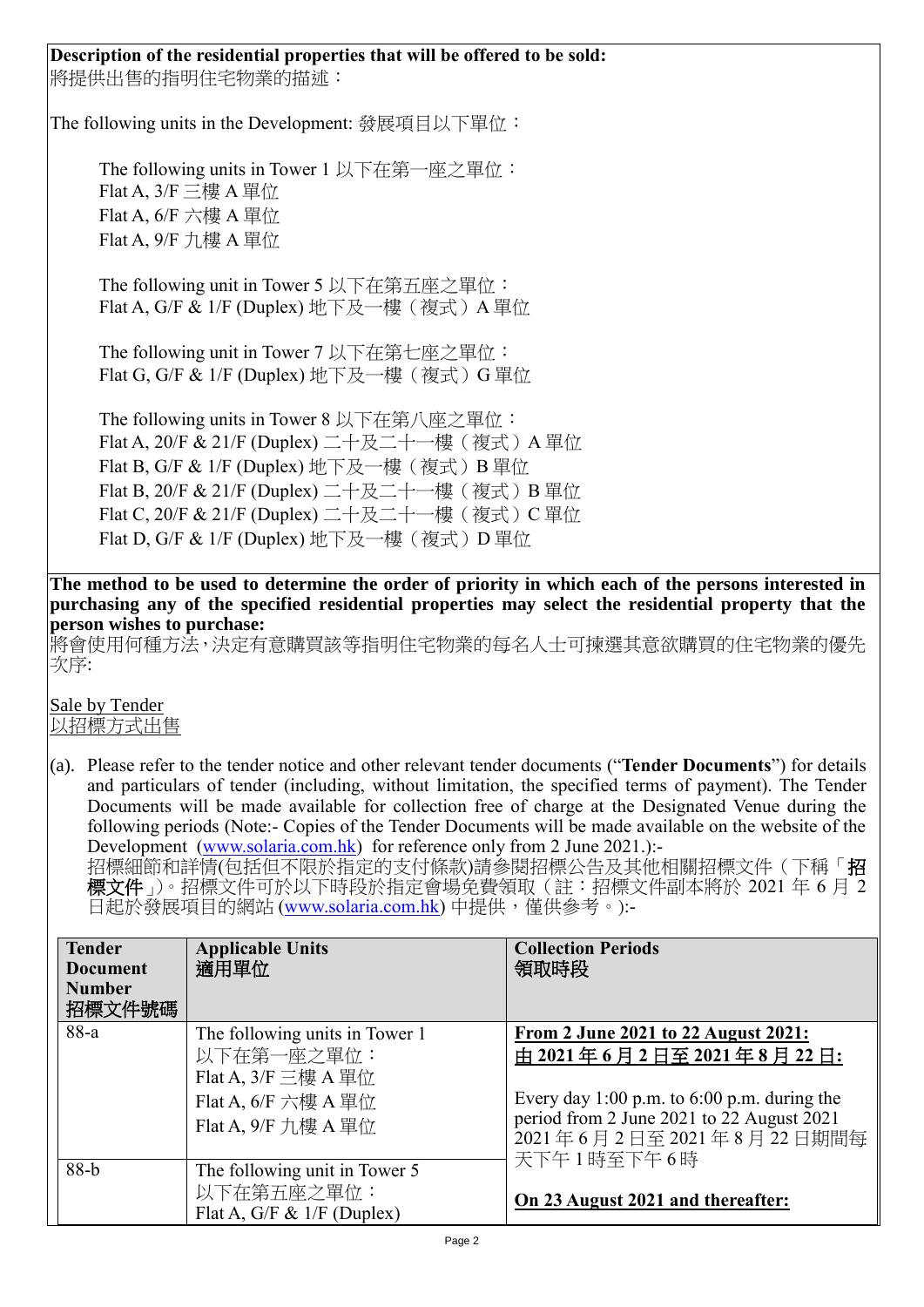### **Description of the residential properties that will be offered to be sold:** 將提供出售的指明住宅物業的描述:

The following units in the Development: 發展項目以下單位:

The following units in Tower 1 以下在第一座之單位: Flat A,  $3/F \equiv$ 樓 A 單位  $Flat A, 6/F$  六樓  $A$  單位 Flat A, 9/F 九樓 A 單位

The following unit in Tower 5 以下在第五座之單位: Flat A, G/F & 1/F (Duplex) 地下及一樓(複式)A 單位

The following unit in Tower 7 以下在第七座之單位: Flat G, G/F & 1/F (Duplex) 地下及一樓(複式) G 單位

The following units in Tower 8 以下在第八座之單位: Flat A, 20/F & 21/F (Duplex) 二十及二十一樓(複式)A 單位 Flat B, G/F & 1/F (Duplex) 地下及一樓(複式) B 單位 Flat B, 20/F & 21/F (Duplex) 二十及二十一樓 (複式) B 單位 Flat C, 20/F & 21/F (Duplex) 二十及二十一樓 (複式) C 單位 Flat D, G/F & 1/F (Duplex) 地下及一樓 (複式) D 單位

**The method to be used to determine the order of priority in which each of the persons interested in purchasing any of the specified residential properties may select the residential property that the person wishes to purchase:**

將會使用何種方法,決定有意購買該等指明住宅物業的每名人士可揀選其意欲購買的住宅物業的優先 次序:

Sale by Tender 以招標方式出售

(a). Please refer to the tender notice and other relevant tender documents ("**Tender Documents**") for details and particulars of tender (including, without limitation, the specified terms of payment). The Tender Documents will be made available for collection free of charge at the Designated Venue during the following periods (Note:- Copies of the Tender Documents will be made available on the website of the Development [\(www.solaria.com.hk\)](http://www.solaria.com.hk/) for reference only from 2 June 2021.):-

招標細節和詳情(包括但不限於指定的支付條款)請參閱招標公告及其他相關招標文件(下稱「**招** 標文件」)。招標文件可於以下時段於指定會場免費領取(註:招標文件副本將於 2021 年 6 月 2 日起於發展項目的網站 [\(www.solaria.com.hk\)](http://www.solaria.com.hk/) 中提供,僅供參考。):-

| <b>Tender</b><br><b>Document</b><br><b>Number</b><br>招標文件號碼 | <b>Applicable Units</b><br>適用單位                                                                                                         | <b>Collection Periods</b><br>領取時段                                                                                                                                                                             |
|-------------------------------------------------------------|-----------------------------------------------------------------------------------------------------------------------------------------|---------------------------------------------------------------------------------------------------------------------------------------------------------------------------------------------------------------|
| 88-a                                                        | The following units in Tower 1<br>以下在第一座之單位:<br>Flat A, $3/F \equiv$ 樓 A 單位<br>Flat A, $6/F \nrightarrow E$ A 單位<br>Flat A, 9/F 力樓 A 單位 | <u>From 2 June 2021 to 22 August 2021:</u><br>由 2021年6月2日至 2021年8月22日:<br>Every day 1:00 p.m. to $6:00$ p.m. during the<br>period from 2 June 2021 to 22 August 2021<br>2021年6月2日至2021年8月22日期間每<br>天下午1時至下午6時 |
| $88-b$                                                      | The following unit in Tower 5<br>以下在第五座之單位:<br>Flat A, G/F & $1/F$ (Duplex)                                                             | On 23 August 2021 and thereafter:                                                                                                                                                                             |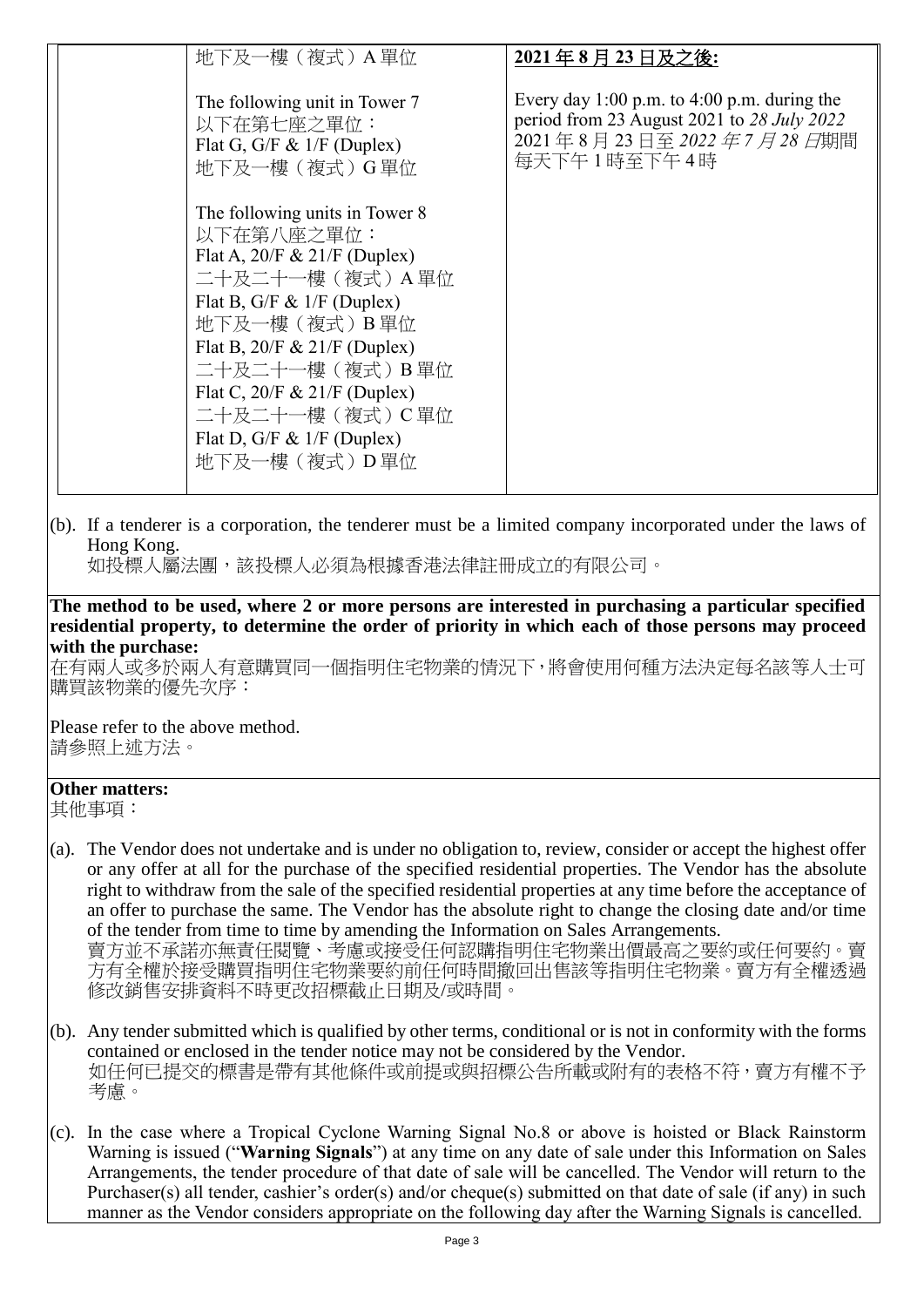| 地下及一樓 (複式) A 單位                                                                                                                                                                                                                                                                                                        | 2021年8月23日及之後:                                                                                                                        |
|------------------------------------------------------------------------------------------------------------------------------------------------------------------------------------------------------------------------------------------------------------------------------------------------------------------------|---------------------------------------------------------------------------------------------------------------------------------------|
|                                                                                                                                                                                                                                                                                                                        |                                                                                                                                       |
| The following unit in Tower 7<br>以下在第七座之單位:<br>Flat G, G/F & $1/F$ (Duplex)<br>地下及一樓(複式)G單位                                                                                                                                                                                                                            | Every day 1:00 p.m. to $4:00$ p.m. during the<br>period from 23 August 2021 to 28 July 2022<br>2021年8月23日至2022年7月28日期間<br>每天下午1時至下午4時 |
| The following units in Tower 8<br>以下在第八座之單位:<br>Flat A, $20/F & 21/F$ (Duplex)<br>二十及二十一樓 (複式) A 單位<br>Flat B, G/F & $1/F$ (Duplex)<br>地下及一樓 (複式) B 單位<br>Flat B, $20/F & 21/F$ (Duplex)<br>二十及二十一樓 (複式) B 單位<br>Flat C, $20/F & 21/F$ (Duplex)<br>二十及二十一樓 (複式) C 單位<br>Flat D, G/F & $1/F$ (Duplex)<br>地下及一樓(複式) D 單位 |                                                                                                                                       |

(b). If a tenderer is a corporation, the tenderer must be a limited company incorporated under the laws of Hong Kong.

如投標人屬法團,該投標人必須為根據香港法律註冊成立的有限公司。

**The method to be used, where 2 or more persons are interested in purchasing a particular specified residential property, to determine the order of priority in which each of those persons may proceed with the purchase:**

在有兩人或多於兩人有意購買同一個指明住宅物業的情況下,將會使用何種方法決定每名該等人士可 購買該物業的優先次序:

Please refer to the above method. 請參照上述方法。

#### **Other matters:** 其他事項:

(a). The Vendor does not undertake and is under no obligation to, review, consider or accept the highest offer or any offer at all for the purchase of the specified residential properties. The Vendor has the absolute right to withdraw from the sale of the specified residential properties at any time before the acceptance of an offer to purchase the same. The Vendor has the absolute right to change the closing date and/or time of the tender from time to time by amending the Information on Sales Arrangements. 賣方並不承諾亦無責任閱覽、考慮或接受任何認購指明住宅物業出價最高之要約或任何要約。賣

方有全權於接受購買指明住宅物業要約前任何時間撤回出售該等指明住宅物業。賣方有全權透過 修改銷售安排資料不時更改招標截止日期及/或時間。

- (b). Any tender submitted which is qualified by other terms, conditional or is not in conformity with the forms contained or enclosed in the tender notice may not be considered by the Vendor. 如任何已提交的標書是帶有其他條件或前提或與招標公告所載或附有的表格不符,賣方有權不予 考慮。
- (c). In the case where a Tropical Cyclone Warning Signal No.8 or above is hoisted or Black Rainstorm Warning is issued ("**Warning Signals**") at any time on any date of sale under this Information on Sales Arrangements, the tender procedure of that date of sale will be cancelled. The Vendor will return to the Purchaser(s) all tender, cashier's order(s) and/or cheque(s) submitted on that date of sale (if any) in such manner as the Vendor considers appropriate on the following day after the Warning Signals is cancelled.